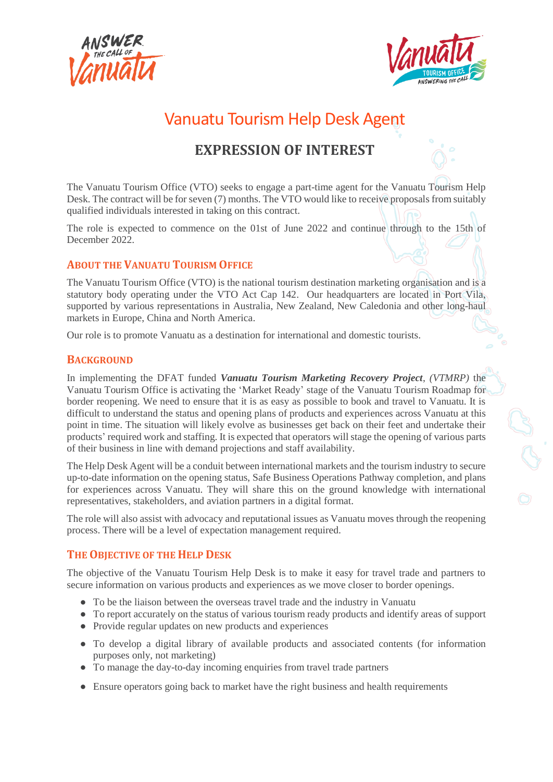



# Vanuatu Tourism Help Desk Agent

# **EXPRESSION OF INTEREST**

The Vanuatu Tourism Office (VTO) seeks to engage a part-time agent for the Vanuatu Tourism Help Desk. The contract will be for seven (7) months. The VTO would like to receive proposals from suitably qualified individuals interested in taking on this contract.

The role is expected to commence on the 01st of June 2022 and continue through to the 15th of December 2022.

# **ABOUT THE VANUATU TOURISM OFFICE**

The Vanuatu Tourism Office (VTO) is the national tourism destination marketing organisation and is a statutory body operating under the VTO Act Cap 142. Our headquarters are located in Port Vila, supported by various representations in Australia, New Zealand, New Caledonia and other long-haul markets in Europe, China and North America.

Our role is to promote Vanuatu as a destination for international and domestic tourists.

# **BACKGROUND**

In implementing the DFAT funded *Vanuatu Tourism Marketing Recovery Project*, *(VTMRP)* the Vanuatu Tourism Office is activating the 'Market Ready' stage of the Vanuatu Tourism Roadmap for border reopening. We need to ensure that it is as easy as possible to book and travel to Vanuatu. It is difficult to understand the status and opening plans of products and experiences across Vanuatu at this point in time. The situation will likely evolve as businesses get back on their feet and undertake their products' required work and staffing. It is expected that operators will stage the opening of various parts of their business in line with demand projections and staff availability.

The Help Desk Agent will be a conduit between international markets and the tourism industry to secure up-to-date information on the opening status, Safe Business Operations Pathway completion, and plans for experiences across Vanuatu. They will share this on the ground knowledge with international representatives, stakeholders, and aviation partners in a digital format.

The role will also assist with advocacy and reputational issues as Vanuatu moves through the reopening process. There will be a level of expectation management required.

# **THE OBJECTIVE OF THE HELP DESK**

The objective of the Vanuatu Tourism Help Desk is to make it easy for travel trade and partners to secure information on various products and experiences as we move closer to border openings.

- To be the liaison between the overseas travel trade and the industry in Vanuatu
- To report accurately on the status of various tourism ready products and identify areas of support
- Provide regular updates on new products and experiences
- To develop a digital library of available products and associated contents (for information purposes only, not marketing)
- To manage the day-to-day incoming enquiries from travel trade partners
- Ensure operators going back to market have the right business and health requirements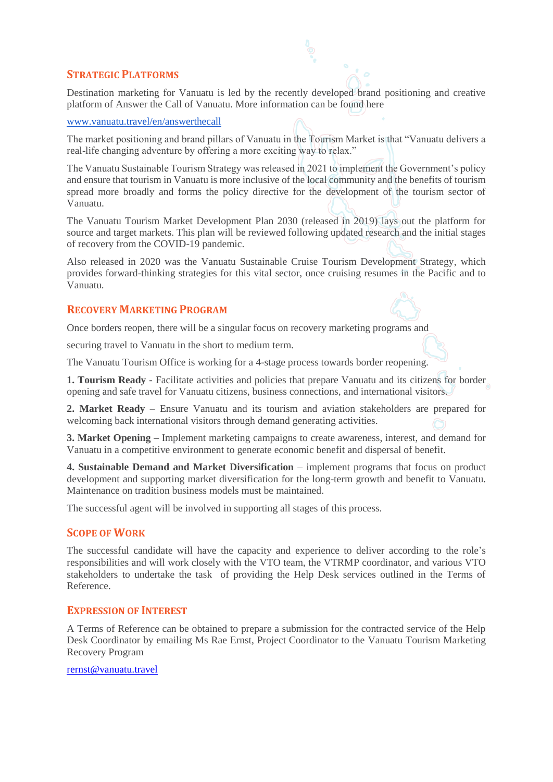# **STRATEGIC PLATFORMS**

Destination marketing for Vanuatu is led by the recently developed brand positioning and creative platform of Answer the Call of Vanuatu. More information can be found here

#### [www.vanuatu.travel/en/answerthecall](http://www.vanuatu.travel/en/answerthecall)

The market positioning and brand pillars of Vanuatu in the Tourism Market is that "Vanuatu delivers a real-life changing adventure by offering a more exciting way to relax."

The Vanuatu Sustainable Tourism Strategy was released in 2021 to implement the Government's policy and ensure that tourism in Vanuatu is more inclusive of the local community and the benefits of tourism spread more broadly and forms the policy directive for the development of the tourism sector of Vanuatu.

The Vanuatu Tourism Market Development Plan 2030 (released in 2019) lays out the platform for source and target markets. This plan will be reviewed following updated research and the initial stages of recovery from the COVID-19 pandemic.

Also released in 2020 was the Vanuatu Sustainable Cruise Tourism Development Strategy, which provides forward-thinking strategies for this vital sector, once cruising resumes in the Pacific and to Vanuatu.

# **RECOVERY MARKETING PROGRAM**

Once borders reopen, there will be a singular focus on recovery marketing programs and

securing travel to Vanuatu in the short to medium term.

The Vanuatu Tourism Office is working for a 4-stage process towards border reopening.

**1. Tourism Ready -** Facilitate activities and policies that prepare Vanuatu and its citizens for border opening and safe travel for Vanuatu citizens, business connections, and international visitors.

**2. Market Ready** – Ensure Vanuatu and its tourism and aviation stakeholders are prepared for welcoming back international visitors through demand generating activities.

**3. Market Opening –** Implement marketing campaigns to create awareness, interest, and demand for Vanuatu in a competitive environment to generate economic benefit and dispersal of benefit.

**4. Sustainable Demand and Market Diversification** – implement programs that focus on product development and supporting market diversification for the long-term growth and benefit to Vanuatu. Maintenance on tradition business models must be maintained.

The successful agent will be involved in supporting all stages of this process.

#### **SCOPE OF WORK**

The successful candidate will have the capacity and experience to deliver according to the role's responsibilities and will work closely with the VTO team, the VTRMP coordinator, and various VTO stakeholders to undertake the task of providing the Help Desk services outlined in the Terms of Reference.

#### **EXPRESSION OF INTEREST**

A Terms of Reference can be obtained to prepare a submission for the contracted service of the Help Desk Coordinator by emailing Ms Rae Ernst, Project Coordinator to the Vanuatu Tourism Marketing Recovery Program

#### [rernst@vanuatu.travel](mailto:rernst@vanuatu.travel)